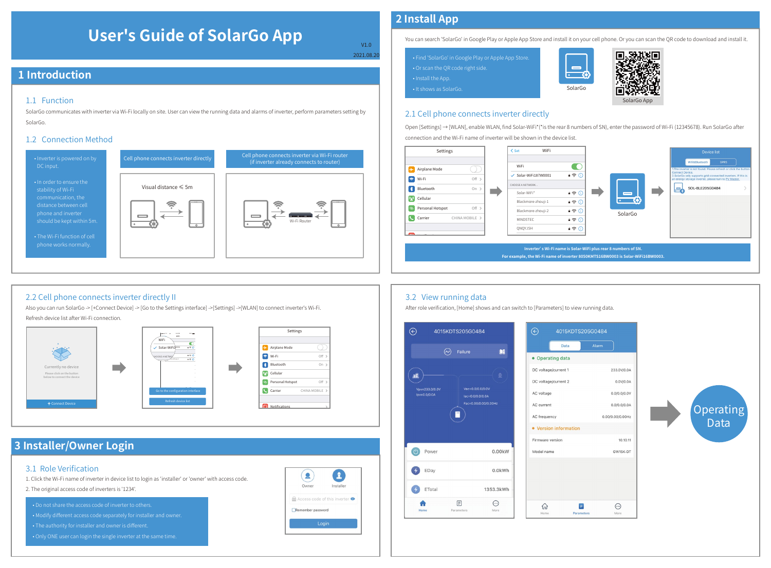# **User's Guide of SolarGo App**

V1.0 2021.08.20

## **1 Introduction**

#### 1.1 Function

SolarGo communicates with inverter via Wi-Fi locally on site. User can view the running data and alarms of inverter, perform parameters setting by SolarGo.

#### 1.2 Connection Method



#### 2.2 Cell phone connects inverter directly II

Also you can run SolarGo -> [+Connect Device] -> [Go to the Settings interface] ->[Settings] ->[WLAN] to connect inverter's Wi-Fi. Refresh device list after Wi-Fi connection.

Tp-LINK-DOC3



# **3 Installer/Owner Login**

#### 3.1 Role Verification

1. Click the Wi-Fi name of inverter in device list to login as 'installer' or 'owner' with access code.

2. The original access code of inverters is '1234'.

• Do not share the access code of inverter to others. • Modify different access code separately for installer and owner.

• Only ONE user can login the single inverter at the same time.



# **2 Install App**

You can search 'SolarGo' in Google Play or Apple App Store and install it on your cell phone. Or you can scan the QR code to download and install it.

| . Find 'SolarGo' in Google Play or Apple App Store. |  |
|-----------------------------------------------------|--|
| $\cdot$ Or scan the QR code right side.             |  |
| • Install the App.                                  |  |
| . It shows as SolarGo.                              |  |



#### 2.1 Cell phone connects inverter directly

Open [Settings] → [WLAN], enable WLAN, find Solar-WiFi\*(\*is the rear 8 numbers of SN), enter the password of Wi-Fi (12345678). Run SolarGo after connection and the Wi-Fi name of inverter will be shown in the device list.

SolarGo

 $\qquad \qquad \blacksquare$  $-6$ 



## 3.2 View running data

After role verification, [Home] shows and can switch to [Parameters] to view running data.

Tp-LINK-DOC4

Hom



#### 4015KDTS205G0484 Data • Operating data DC voltage/current 1 233.0V/0.0A DC voltage/current 2 0.0V/0.0A AC voltage  $0.010.010.0V$ AC current  $0.0/0.0/0.0A$ AC frequency 0.00/0.00/0.00Hz • Version information Firmware version 10,10,11 Model name GW15K-DT ⋒  $\blacksquare$  $\odot$

Paramete

More

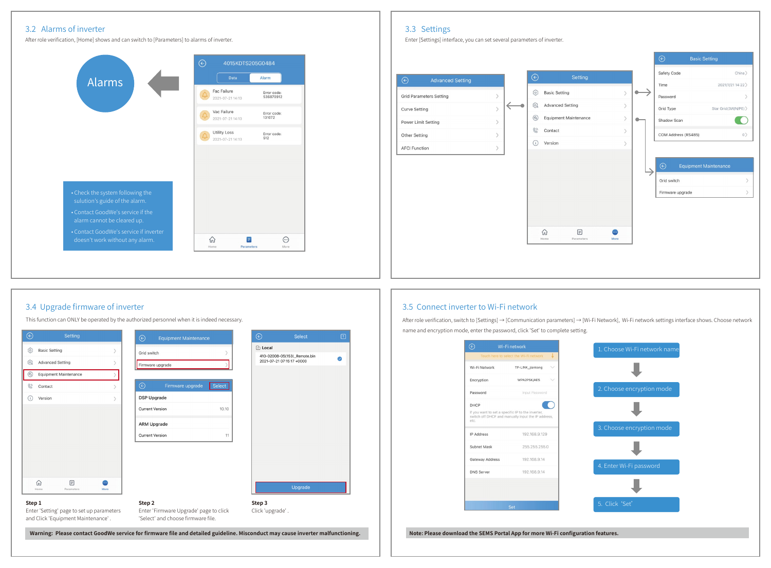#### 3.2 Alarms of inverter 3.3 Settings 3.3 Settings

After role verification, [Home] shows and can switch to [Parameters] to alarms of inverter. The state of inverter content of inverters of inverters of inverters of inverters of inverters of inverters of inverters of invert





#### 3.4 Upgrade firmware of inverter

This function can ONLY be operated by the authorized personnel when it is indeed necessary.



#### 3.5 Connect inverter to Wi-Fi network

After role verification, switch to [Settings] → [Communication parameters] → [Wi-Fi Network], Wi-Fi network settings interface shows. Choose network name and encryption mode, enter the password, click 'Set' to complete setting.

|                   | Wi-Fi network                                                                                           |
|-------------------|---------------------------------------------------------------------------------------------------------|
|                   | Ψ<br>Touch here to select the Wi-Fi network                                                             |
| Wi-Fi Network     | TP-LINK_jiankong                                                                                        |
| Encryption        | WPA2PSK/AES                                                                                             |
| Password          | Input Password                                                                                          |
| DHCP              |                                                                                                         |
| etc.              | If you want to set a specific IP to the inverter,<br>switch off DHCP and manually input the IP address, |
| <b>IP Address</b> | 192.168.9.129                                                                                           |
| Subnet Mask       | 255.255.255.0                                                                                           |
| Gateway Address   | 192, 168, 9, 14                                                                                         |
| <b>DNS Server</b> | 192.168.9.14                                                                                            |
|                   |                                                                                                         |
|                   |                                                                                                         |
|                   | Set                                                                                                     |

1. Choose Wi-Fi network nam 5. Click 'Set'

**Note: Please download the SEMS Portal App for more Wi-Fi configuration features.**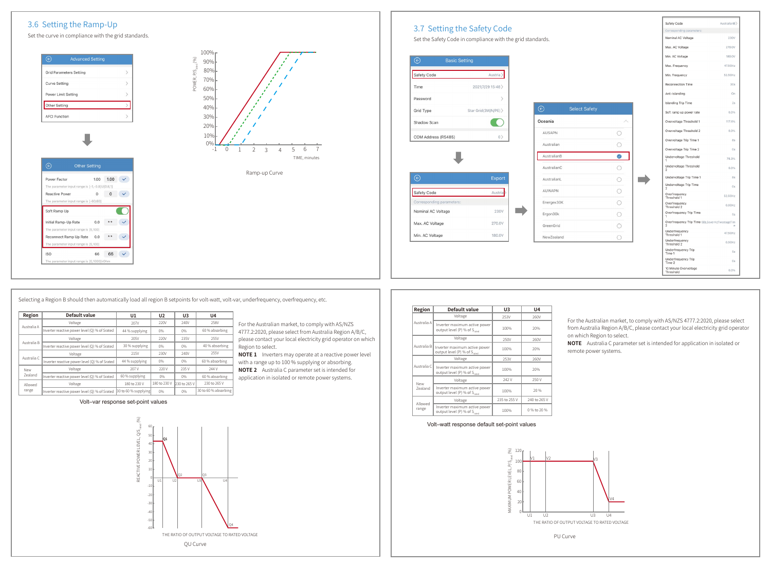## 3.6 Setting the Ramp-Up

Set the curve in compliance with the grid standards.

| <b>Grid Parameters Setting</b> |  |
|--------------------------------|--|
| <b>Curve Setting</b>           |  |
| Power Limit Setting            |  |
| Other Setting                  |  |
| <b>AFCI Function</b>           |  |



|                                              | Set the Safety Code in compliance with the grid standards. |                      |            | Nominal AC Voltage                                              | 230V      |
|----------------------------------------------|------------------------------------------------------------|----------------------|------------|-----------------------------------------------------------------|-----------|
|                                              |                                                            |                      |            | Max. AC Voltage                                                 | 270.0V    |
| $_{\textstyle\odot}$<br><b>Basic Setting</b> |                                                            |                      |            | Min. AC Voltage                                                 | 180.0V    |
|                                              |                                                            |                      |            | Max. Frequency                                                  | 47.50Hz   |
| Safety Code                                  | Austria                                                    |                      |            | Min. Frequency                                                  | 52.50Hz   |
| Time                                         | 2021/7/29 15:48>                                           |                      |            | Reconnection Time                                               | 30s       |
| Password                                     |                                                            |                      |            | Anti-Islanding                                                  | On        |
|                                              |                                                            | <b>Select Safety</b> |            | Islanding Trip Time                                             | 2s        |
| Grid Type                                    | Star Grid(3W/N/PE) >                                       | $_{\odot}$           |            | Soft ramp up power rate                                         | 0.0%      |
| Shadow Scan                                  |                                                            | Oceania              | $\wedge$   | Overvoltage Threshold 1                                         | 117.4%    |
| COM Address (RS485)                          | 0                                                          | AUSAPN               | Ω          | Overvoltage Threshold 2                                         | 0.0%      |
|                                              |                                                            | Australian           | O          | Overvoltage Trip Time 1                                         | <b>8s</b> |
|                                              |                                                            |                      |            | Overvoltage Trip Time 2                                         | Os        |
|                                              |                                                            | AustralianB          | $\bullet$  | Undervoltage Threshold<br>1                                     | 78.3%     |
|                                              |                                                            | AustralianC          | O          | Undervoltage Threshold<br>$\overline{2}$                        | 0.0%      |
| $\odot$                                      | Export                                                     | AustralianL          | $\bigcirc$ | Undervoltage Trip Time 1                                        | <b>8s</b> |
|                                              |                                                            | AUWAPN               | $\circ$    | Undervoltage Trip Time<br>$\overline{2}$                        | Os        |
| Safety Code                                  | Austria                                                    |                      |            | Overfrequency<br>Threshold 1                                    | 52.50Hz   |
| Corresponding parameters:                    |                                                            | Energex30K           | O          | Overfrequency<br>Threshold 2                                    | 0.00Hz    |
| Nominal AC Voltage                           | 230V                                                       | Ergon30k             | O          | Overfrequency Trip Time                                         | 5s        |
| Max. AC Voltage                              | 270.0V                                                     | GreenGrid            | O          | Overfrequency Trip Time 5BLEoverHzTwostageTim<br>$\overline{2}$ | $\alpha$  |
|                                              | 180.0V                                                     | NewZealand           | O          | Underfrequency<br>Threshold 1                                   | 47.50Hz   |
|                                              |                                                            |                      |            | Underfrequency<br>Threshold 2                                   | 0.00Hz    |
|                                              |                                                            |                      |            |                                                                 |           |
|                                              |                                                            |                      |            | Underfrequency Trip<br>Time 1                                   |           |
| Min. AC Voltage                              |                                                            |                      |            | Underfrequency Trip<br>Time 2                                   | 5s<br>0s  |

Selecting a Region B should then automatically load all region B setpoints for volt-watt, volt-var, underfrequency, overfrequency, etc.

| Region         | Default value                                 | U1                   | U <sub>2</sub> | U <sub>3</sub> | U4                   |
|----------------|-----------------------------------------------|----------------------|----------------|----------------|----------------------|
|                | Voltage                                       | 207V                 | 220V           | 240V           | 258V                 |
| Australia A    | Inverter reactive power level (Q) % of Srated | 44 % supplying       | 0%             | 0%             | 60 % absorbing       |
|                | Voltage                                       | 205V                 | 220V           | 235V           | 255V                 |
| Australia B    | Inverter reactive power level (Q) % of Srated | 30 % supplying       | 0%             | 0%             | 40 % absorbing       |
|                | Voltage                                       | 215V                 | 230V           | 240V           | 255V                 |
| Australia C    | Inverter reactive power level (O) % of Srated | 44 % supplying       | 0%             | 0%             | 60 % absorbing       |
| New            | Voltage                                       | 207 V                | 220 V          | 235 V          | 244V                 |
| <b>Zealand</b> | Inverter reactive power level (Q) % of Srated | 60 % supplying       | 0%             | 0%             | 60 % absorbing       |
| Allowed        | Voltage                                       | 180 to 230 V         | 180 to 230 V   | 230 to 265 V   | 230 to 265 V         |
| range          | Inverter reactive power level (O) % of Srated | 30 to 60 % supplying | 0%             | 0%             | 30 to 60 % absorbing |

 $0.0$  \*\*

66 66  $\checkmark$ 

1.00 1.00  $\checkmark$ 

 $\begin{array}{ccccccccc} 0 & & 0 & & \checkmark \end{array}$ 

 $\blacksquare$ 

Reconnect Ramp Up Rate 0.0 \*\* V

Other Setting

The parameter input range is [-1,-0.8]U[0.8,1]

The parameter input range is [-60,60]

Power Factor

Reactive Power

Soft Ramp Up

**ISO** 

Initial Ramp-Up Rate The parameter input range is [5,100] he parameter input range is [5,100

> For the Australian market, to comply with AS/NZS 4777.2:2020, please select from Australia Region A/B/C, please contact your local electricity grid operator on which .<br>Region to select.

**NOTE 1** Inverters may operate at a reactive power level with a range up to 100 % supplying or absorbing.

**NOTE 2** Australia C parameter set is intended for application in isolated or remote power systems.

| Region                | Default value                                                             | U3           | U <sub>4</sub> |
|-----------------------|---------------------------------------------------------------------------|--------------|----------------|
|                       | Voltage                                                                   | 253V         | 260V           |
| Australia A           | Inverter maximum active power<br>output level (P) % of S                  | 100%         | 20%            |
|                       | Voltage                                                                   | 250V         | 260V           |
| Australia B           | Inverter maximum active power<br>output level (P) % of S <sub>creen</sub> | 100%         | 20%            |
|                       | Voltage                                                                   | 253V         | 260V           |
| Australia C           | Inverter maximum active power<br>output level (P) % of S <sub>cand</sub>  | 100%         | 20%            |
|                       | Voltage                                                                   | 242 V        | 250 V          |
| New<br><b>Zealand</b> | Inverter maximum active power<br>output level (P) % of Scood              | 100%         | 20.96          |
|                       | Voltage                                                                   | 235 to 255 V | 240 to 265 V   |
| Allowed<br>range      | Inverter maximum active power<br>output level (P) % of Scood              | 100%         | 0 % to 20 %    |

For the Australian market, to comply with AS/NZS 4777.2:2020, please select from Australia Region A/B/C, please contact your local electricity grid operator on which Region to select.

**NOTE** Australia C parameter set is intended for application in isolated or remote power systems.





PU Curve

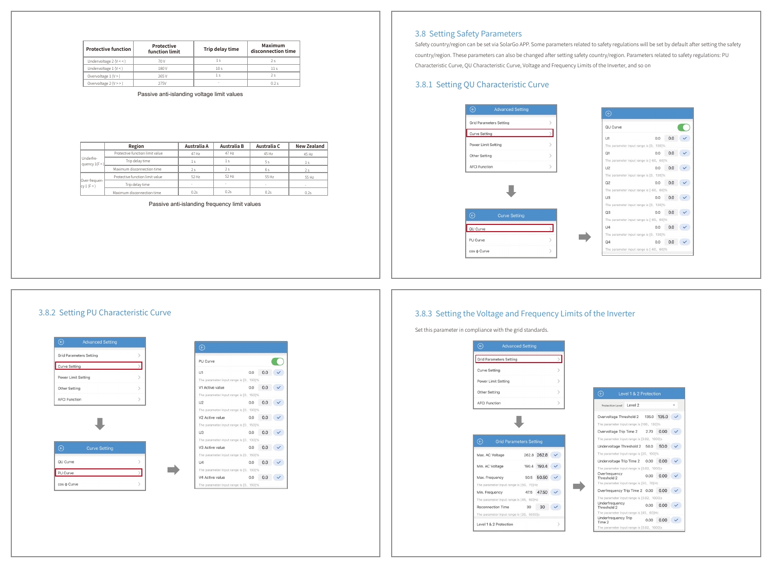| <b>Protective function</b> | Protective<br>function limit | Trip delay time | Maximum<br>disconnection time |
|----------------------------|------------------------------|-----------------|-------------------------------|
| Undervoltage $2(V < 1)$    | 70 V                         |                 | 2s                            |
| Undervoltage $1 (V < 1)$   | 180 V                        | 10 <sub>s</sub> | 11 <sub>s</sub>               |
| Overvoltage $1(V>$ )       | 265 V                        | ٦.              | 2s                            |
| Overvoltage $2(V \geq 0)$  | 275V                         | $\sim$          | 0.2s                          |

Passive anti-islanding voltage limit values

|                                   | Region                          | Australia A | Australia B | Australia C | <b>New Zealand</b> |
|-----------------------------------|---------------------------------|-------------|-------------|-------------|--------------------|
|                                   | Protective function limit value | 47 Hz       | 47 Hz       | 45 Hz       | 45 Hz              |
| Underfre-<br>quency $1(F \leq 1)$ | Trip delay time                 | 1s          | 1s          | 5 s         | 1s                 |
|                                   | Maximum disconnection time      | 2s          | 2s          | 6 s         | 2s                 |
|                                   | Protective function limit value | 52 Hz       | 52 Hz       | 55 Hz       | 55 Hz              |
| Over-frequen-<br>cy1(F>)          | Trip delay time                 |             |             |             |                    |
|                                   | Maximum disconnection time      | 0.2s        | 0.2s        | 0.2s        | 0.2s               |

#### Passive anti-islanding frequency limit values

#### 3.8 Setting Safety Parameters

Safety country/region can be set via SolarGo APP. Some parameters related to safety regulations will be set by default after setting the safety country/region. These parameters can also be changed after setting safety country/region. Parameters related to safety regulations: PU Characteristic Curve, QU Characteristic Curve, Voltage and Frequency Limits of the Inverter, and so on

## 3.8.1 Setting QU Characteristic Curve



# $0.0$  0.0  $\checkmark$  $0.0$  0.0  $\checkmark$  $0.0 0.0 \times$  $0.0 0.0$  $0.0$  0.0  $\checkmark$  $0.0$  0.0  $\checkmark$  $0.0 0.0 \times$

#### 3.8.3 Setting the Voltage and Frequency Limits of the Inverter

Set this parameter in compliance with the grid standards.

| Level 1 & 2 Protection                     |      |               |  |
|--------------------------------------------|------|---------------|--|
| Protection Level: Level 2                  |      |               |  |
| Overvoltage Threshold 2 135.0 135.0        |      |               |  |
| The parameter input range is [100, 130]%   |      |               |  |
| Overvoltage Trip Time 2 2.70 0.00          |      |               |  |
| The parameter input range is [0.02, 1000]s |      |               |  |
| Undervoltage Threshold 2 50.0 50.0         |      |               |  |
| The parameter input range is [20, 100]%    |      |               |  |
| Undervoltage Trip Time 2 0.00 0.00         |      |               |  |
| The parameter input range is [0.02, 1000]s |      |               |  |
| Overfrequency<br>Threshold 2               |      | $0.00 \ 0.00$ |  |
| The parameter input range is [50, 70]Hz    |      |               |  |
| Overfrequency Trip Time 2 0.00 0.00        |      |               |  |
| The parameter input range is [0.02, 1000]s |      |               |  |
| Underfrequency<br>Threshold 2              | 0.00 | 0.00          |  |
| The parameter input range is [45, 60]Hz    |      |               |  |
| Underfrequency Trip<br>Time 2              | 0.00 | 0.00          |  |
| The narameter input range is (0.02 1000]s  |      |               |  |

#### 3.8.2 Setting PU Characteristic Curve

| $\odot$<br><b>Advanced Setting</b>     |               | $\odot$                                                               |
|----------------------------------------|---------------|-----------------------------------------------------------------------|
| <b>Grid Parameters Setting</b>         | ↘             |                                                                       |
| <b>Curve Setting</b>                   |               | PU Curve                                                              |
| Power Limit Setting                    | $\mathcal{E}$ | U1<br>The parameter input rai                                         |
| Other Setting                          | $\mathcal{E}$ | V1 Active value                                                       |
| <b>AFCI Function</b>                   |               | The parameter input rai<br>112                                        |
|                                        |               | The parameter input rai                                               |
|                                        |               | V2 Active value                                                       |
|                                        |               | The parameter input rai                                               |
|                                        |               | U3                                                                    |
|                                        |               | The parameter input rai                                               |
|                                        |               |                                                                       |
| <b>Curve Setting</b>                   |               |                                                                       |
|                                        |               |                                                                       |
|                                        | $\mathcal{E}$ | U4                                                                    |
|                                        |               | V3 Active value<br>The parameter input rar<br>The parameter input rai |
| $\odot$<br><b>QU</b> Curve<br>PU Curve |               | V4 Active value                                                       |

| PU Curve                               |            |  |
|----------------------------------------|------------|--|
| U1                                     | 0.0<br>0.0 |  |
| The parameter input range is [0, 130]% |            |  |
| V1 Active value                        | 0.0<br>0.0 |  |
| The parameter input range is [0, 150]% |            |  |
| U <sub>2</sub>                         | 0.0<br>0.0 |  |
| The parameter input range is [0, 130]% |            |  |
| V2 Active value                        | 0.0<br>0.0 |  |
| The parameter input range is [0, 150]% |            |  |
| U3                                     | 0.0<br>0.0 |  |
| The parameter input range is [0, 130]% |            |  |
| V3 Active value                        | 0.0<br>0.0 |  |
| The parameter input range is [0, 150]% |            |  |
| U4                                     | 0.0<br>0.0 |  |
| The parameter input range is [0, 130]% |            |  |
| V4 Active value                        | 0.0<br>0.0 |  |
| The parameter input range is [0, 150]% |            |  |